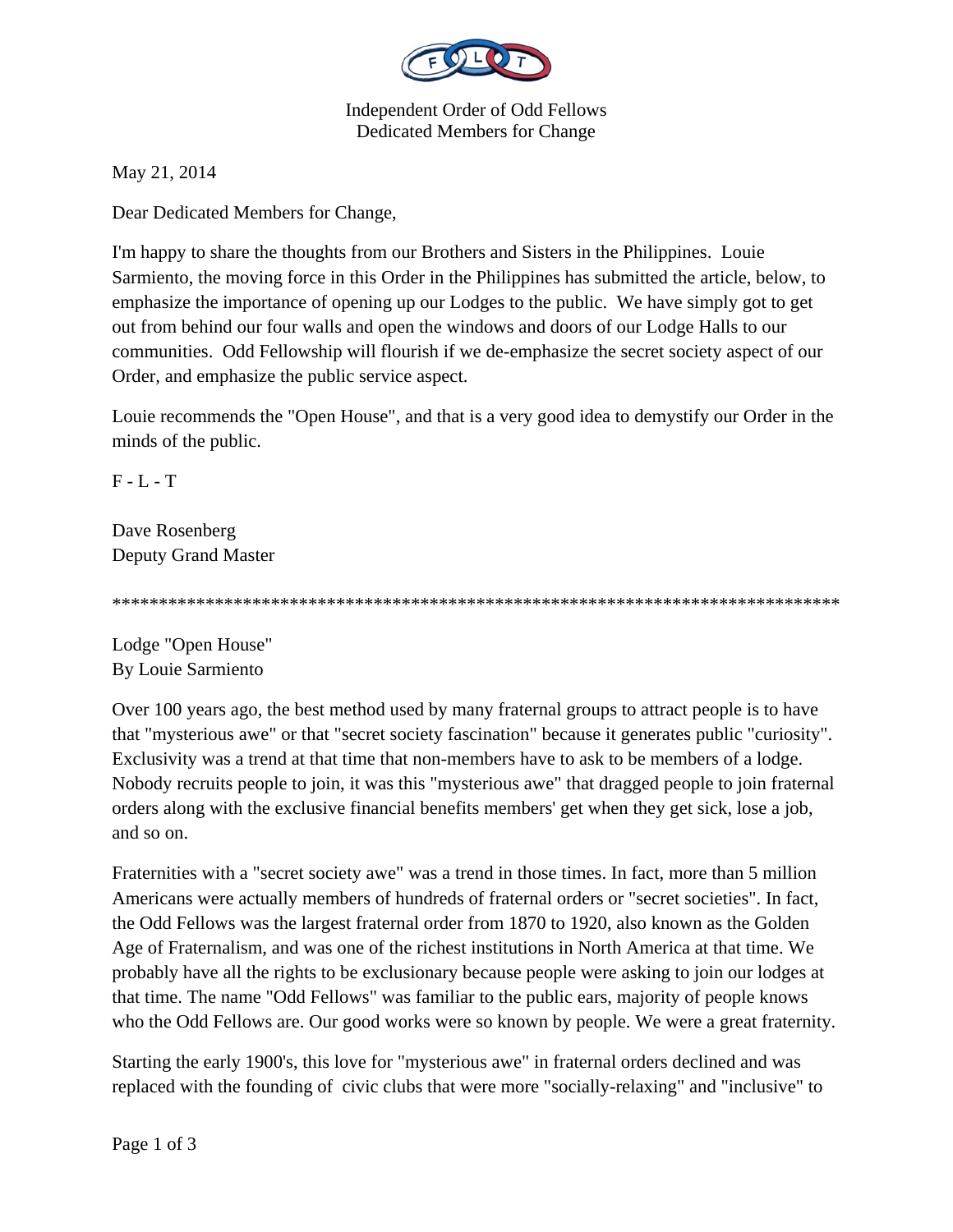

Independent Order of Odd Fellows Dedicated Members for Change

May 21, 2014

Dear Dedicated Members for Change,

I'm happy to share the thoughts from our Brothers and Sisters in the Philippines. Louie Sarmiento, the moving force in this Order in the Philippines has submitted the article, below, to emphasize the importance of opening up our Lodges to the public. We have simply got to get out from behind our four walls and open the windows and doors of our Lodge Halls to our communities. Odd Fellowship will flourish if we de-emphasize the secret society aspect of our Order, and emphasize the public service aspect.

Louie recommends the "Open House", and that is a very good idea to demystify our Order in the minds of the public.

F - L - T

Dave Rosenberg Deputy Grand Master

\*\*\*\*\*\*\*\*\*\*\*\*\*\*\*\*\*\*\*\*\*\*\*\*\*\*\*\*\*\*\*\*\*\*\*\*\*\*\*\*\*\*\*\*\*\*\*\*\*\*\*\*\*\*\*\*\*\*\*\*\*\*\*\*\*\*\*\*\*\*\*\*\*\*\*\*\*\*

Lodge "Open House" By Louie Sarmiento

Over 100 years ago, the best method used by many fraternal groups to attract people is to have that "mysterious awe" or that "secret society fascination" because it generates public "curiosity". Exclusivity was a trend at that time that non-members have to ask to be members of a lodge. Nobody recruits people to join, it was this "mysterious awe" that dragged people to join fraternal orders along with the exclusive financial benefits members' get when they get sick, lose a job, and so on.

Fraternities with a "secret society awe" was a trend in those times. In fact, more than 5 million Americans were actually members of hundreds of fraternal orders or "secret societies". In fact, the Odd Fellows was the largest fraternal order from 1870 to 1920, also known as the Golden Age of Fraternalism, and was one of the richest institutions in North America at that time. We probably have all the rights to be exclusionary because people were asking to join our lodges at that time. The name "Odd Fellows" was familiar to the public ears, majority of people knows who the Odd Fellows are. Our good works were so known by people. We were a great fraternity.

Starting the early 1900's, this love for "mysterious awe" in fraternal orders declined and was replaced with the founding of civic clubs that were more "socially-relaxing" and "inclusive" to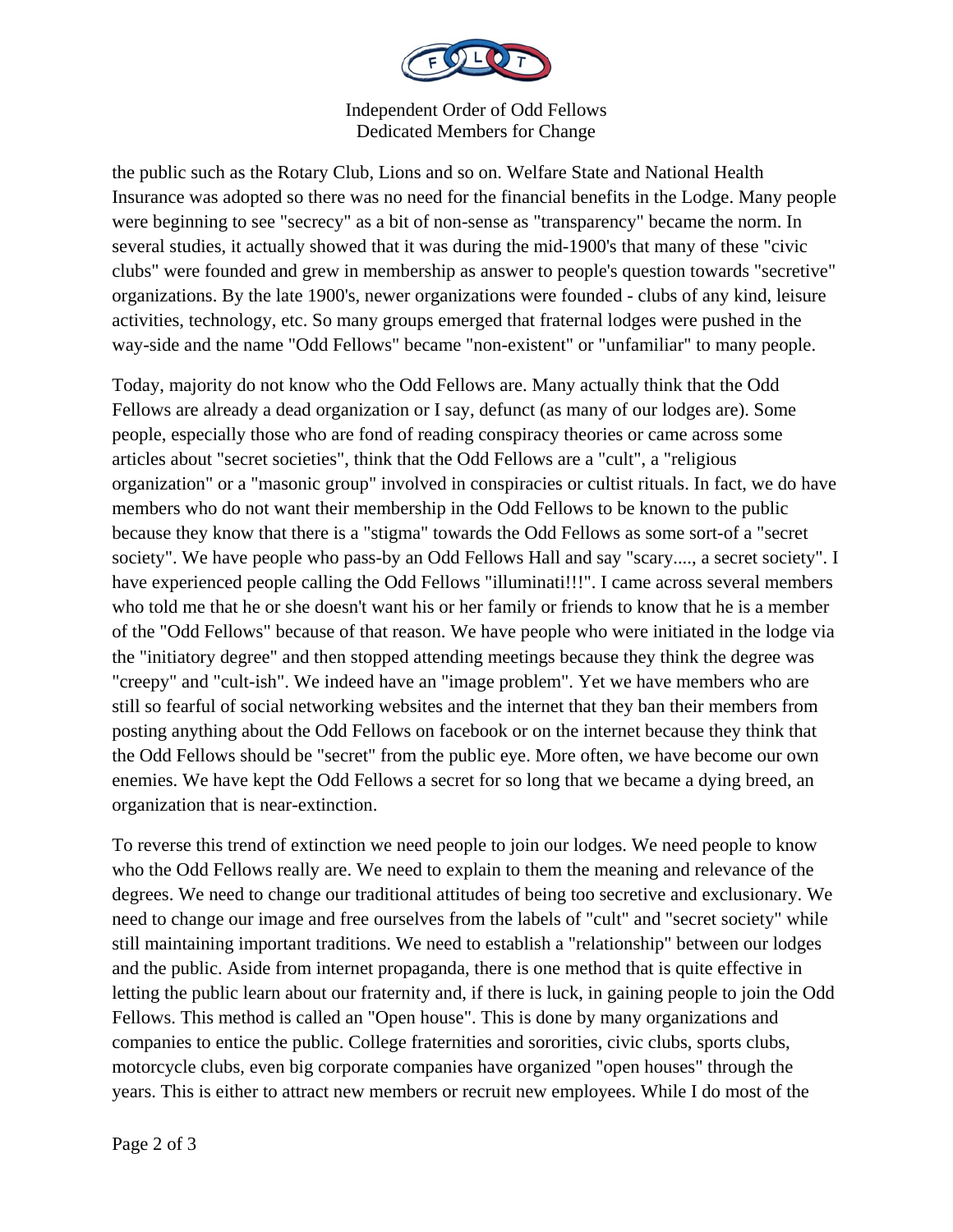

## Independent Order of Odd Fellows Dedicated Members for Change

the public such as the Rotary Club, Lions and so on. Welfare State and National Health Insurance was adopted so there was no need for the financial benefits in the Lodge. Many people were beginning to see "secrecy" as a bit of non-sense as "transparency" became the norm. In several studies, it actually showed that it was during the mid-1900's that many of these "civic clubs" were founded and grew in membership as answer to people's question towards "secretive" organizations. By the late 1900's, newer organizations were founded - clubs of any kind, leisure activities, technology, etc. So many groups emerged that fraternal lodges were pushed in the way-side and the name "Odd Fellows" became "non-existent" or "unfamiliar" to many people.

Today, majority do not know who the Odd Fellows are. Many actually think that the Odd Fellows are already a dead organization or I say, defunct (as many of our lodges are). Some people, especially those who are fond of reading conspiracy theories or came across some articles about "secret societies", think that the Odd Fellows are a "cult", a "religious organization" or a "masonic group" involved in conspiracies or cultist rituals. In fact, we do have members who do not want their membership in the Odd Fellows to be known to the public because they know that there is a "stigma" towards the Odd Fellows as some sort-of a "secret society". We have people who pass-by an Odd Fellows Hall and say "scary...., a secret society". I have experienced people calling the Odd Fellows "illuminati!!!". I came across several members who told me that he or she doesn't want his or her family or friends to know that he is a member of the "Odd Fellows" because of that reason. We have people who were initiated in the lodge via the "initiatory degree" and then stopped attending meetings because they think the degree was "creepy" and "cult-ish". We indeed have an "image problem". Yet we have members who are still so fearful of social networking websites and the internet that they ban their members from posting anything about the Odd Fellows on facebook or on the internet because they think that the Odd Fellows should be "secret" from the public eye. More often, we have become our own enemies. We have kept the Odd Fellows a secret for so long that we became a dying breed, an organization that is near-extinction.

To reverse this trend of extinction we need people to join our lodges. We need people to know who the Odd Fellows really are. We need to explain to them the meaning and relevance of the degrees. We need to change our traditional attitudes of being too secretive and exclusionary. We need to change our image and free ourselves from the labels of "cult" and "secret society" while still maintaining important traditions. We need to establish a "relationship" between our lodges and the public. Aside from internet propaganda, there is one method that is quite effective in letting the public learn about our fraternity and, if there is luck, in gaining people to join the Odd Fellows. This method is called an "Open house". This is done by many organizations and companies to entice the public. College fraternities and sororities, civic clubs, sports clubs, motorcycle clubs, even big corporate companies have organized "open houses" through the years. This is either to attract new members or recruit new employees. While I do most of the